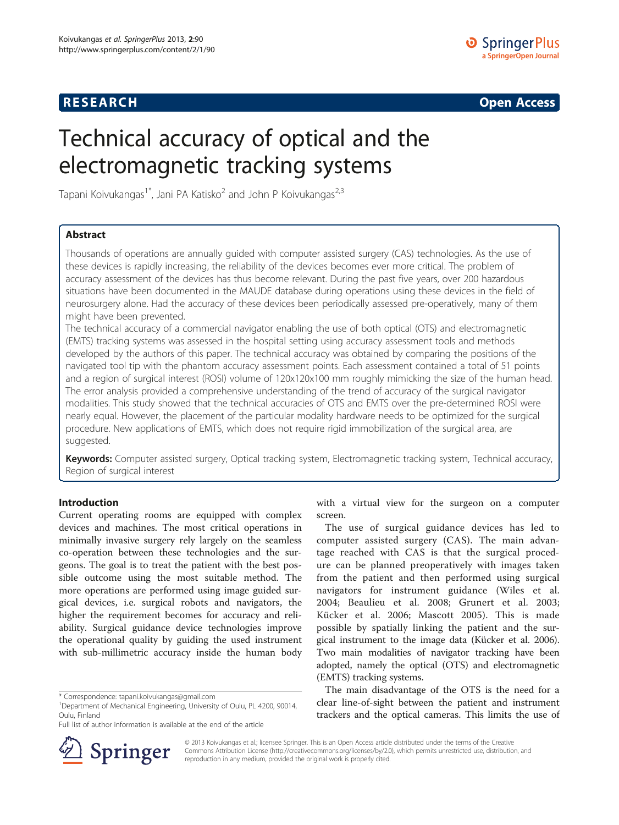## **RESEARCH RESEARCH CONSUMING ACCESS**

# Technical accuracy of optical and the electromagnetic tracking systems

Tapani Koivukangas<sup>1\*</sup>, Jani PA Katisko<sup>2</sup> and John P Koivukangas<sup>2,3</sup>

## Abstract

Thousands of operations are annually guided with computer assisted surgery (CAS) technologies. As the use of these devices is rapidly increasing, the reliability of the devices becomes ever more critical. The problem of accuracy assessment of the devices has thus become relevant. During the past five years, over 200 hazardous situations have been documented in the MAUDE database during operations using these devices in the field of neurosurgery alone. Had the accuracy of these devices been periodically assessed pre-operatively, many of them might have been prevented.

The technical accuracy of a commercial navigator enabling the use of both optical (OTS) and electromagnetic (EMTS) tracking systems was assessed in the hospital setting using accuracy assessment tools and methods developed by the authors of this paper. The technical accuracy was obtained by comparing the positions of the navigated tool tip with the phantom accuracy assessment points. Each assessment contained a total of 51 points and a region of surgical interest (ROSI) volume of 120x120x100 mm roughly mimicking the size of the human head. The error analysis provided a comprehensive understanding of the trend of accuracy of the surgical navigator modalities. This study showed that the technical accuracies of OTS and EMTS over the pre-determined ROSI were nearly equal. However, the placement of the particular modality hardware needs to be optimized for the surgical procedure. New applications of EMTS, which does not require rigid immobilization of the surgical area, are suggested.

Keywords: Computer assisted surgery, Optical tracking system, Electromagnetic tracking system, Technical accuracy, Region of surgical interest

## Introduction

Current operating rooms are equipped with complex devices and machines. The most critical operations in minimally invasive surgery rely largely on the seamless co-operation between these technologies and the surgeons. The goal is to treat the patient with the best possible outcome using the most suitable method. The more operations are performed using image guided surgical devices, i.e. surgical robots and navigators, the higher the requirement becomes for accuracy and reliability. Surgical guidance device technologies improve the operational quality by guiding the used instrument with sub-millimetric accuracy inside the human body

Full list of author information is available at the end of the article



with a virtual view for the surgeon on a computer screen.

The use of surgical guidance devices has led to computer assisted surgery (CAS). The main advantage reached with CAS is that the surgical procedure can be planned preoperatively with images taken from the patient and then performed using surgical navigators for instrument guidance (Wiles et al. [2004;](#page-6-0) Beaulieu et al. [2008;](#page-6-0) Grunert et al. [2003](#page-6-0); Kücker et al. [2006](#page-6-0); Mascott [2005](#page-6-0)). This is made possible by spatially linking the patient and the surgical instrument to the image data (Kücker et al. [2006](#page-6-0)). Two main modalities of navigator tracking have been adopted, namely the optical (OTS) and electromagnetic (EMTS) tracking systems.

The main disadvantage of the OTS is the need for a clear line-of-sight between the patient and instrument trackers and the optical cameras. This limits the use of

© 2013 Koivukangas et al.; licensee Springer. This is an Open Access article distributed under the terms of the Creative Commons Attribution License (<http://creativecommons.org/licenses/by/2.0>), which permits unrestricted use, distribution, and reproduction in any medium, provided the original work is properly cited.

<sup>\*</sup> Correspondence: [tapani.koivukangas@gmail.com](mailto:tapani.koivukangas@gmail.com) <sup>1</sup>

<sup>&</sup>lt;sup>1</sup>Department of Mechanical Engineering, University of Oulu, PL 4200, 90014, Oulu, Finland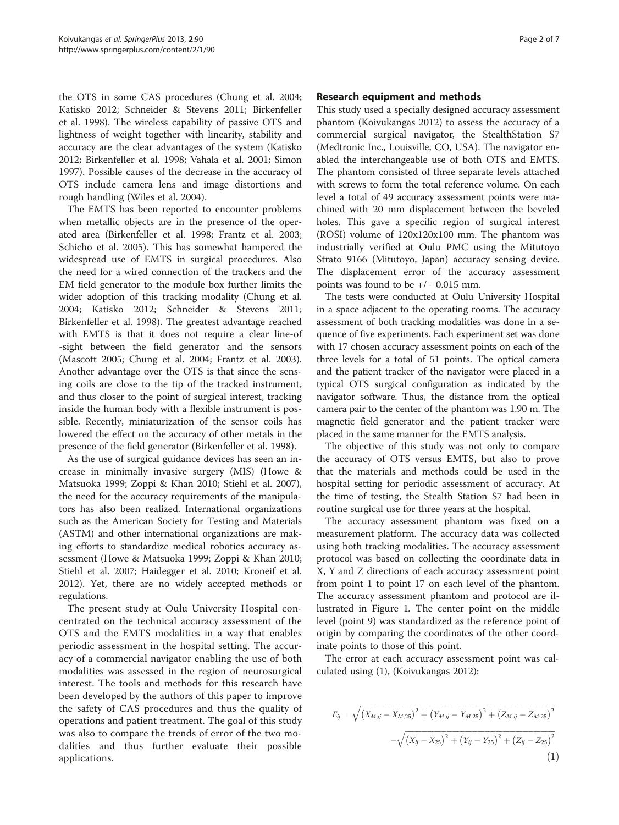the OTS in some CAS procedures (Chung et al. [2004](#page-6-0); Katisko [2012](#page-6-0); Schneider & Stevens [2011](#page-6-0); Birkenfeller et al. [1998\)](#page-6-0). The wireless capability of passive OTS and lightness of weight together with linearity, stability and accuracy are the clear advantages of the system (Katisko [2012](#page-6-0); Birkenfeller et al. [1998](#page-6-0); Vahala et al. [2001](#page-6-0); Simon [1997](#page-6-0)). Possible causes of the decrease in the accuracy of OTS include camera lens and image distortions and rough handling (Wiles et al. [2004\)](#page-6-0).

The EMTS has been reported to encounter problems when metallic objects are in the presence of the operated area (Birkenfeller et al. [1998](#page-6-0); Frantz et al. [2003](#page-6-0); Schicho et al. [2005\)](#page-6-0). This has somewhat hampered the widespread use of EMTS in surgical procedures. Also the need for a wired connection of the trackers and the EM field generator to the module box further limits the wider adoption of this tracking modality (Chung et al. [2004](#page-6-0); Katisko [2012](#page-6-0); Schneider & Stevens [2011](#page-6-0); Birkenfeller et al. [1998\)](#page-6-0). The greatest advantage reached with EMTS is that it does not require a clear line-of -sight between the field generator and the sensors (Mascott [2005](#page-6-0); Chung et al. [2004;](#page-6-0) Frantz et al. [2003](#page-6-0)). Another advantage over the OTS is that since the sensing coils are close to the tip of the tracked instrument, and thus closer to the point of surgical interest, tracking inside the human body with a flexible instrument is possible. Recently, miniaturization of the sensor coils has lowered the effect on the accuracy of other metals in the presence of the field generator (Birkenfeller et al. [1998\)](#page-6-0).

As the use of surgical guidance devices has seen an increase in minimally invasive surgery (MIS) (Howe & Matsuoka [1999](#page-6-0); Zoppi & Khan [2010](#page-6-0); Stiehl et al. [2007](#page-6-0)), the need for the accuracy requirements of the manipulators has also been realized. International organizations such as the American Society for Testing and Materials (ASTM) and other international organizations are making efforts to standardize medical robotics accuracy assessment (Howe & Matsuoka [1999;](#page-6-0) Zoppi & Khan [2010](#page-6-0); Stiehl et al. [2007;](#page-6-0) Haidegger et al. [2010;](#page-6-0) Kroneif et al. [2012](#page-6-0)). Yet, there are no widely accepted methods or regulations.

The present study at Oulu University Hospital concentrated on the technical accuracy assessment of the OTS and the EMTS modalities in a way that enables periodic assessment in the hospital setting. The accuracy of a commercial navigator enabling the use of both modalities was assessed in the region of neurosurgical interest. The tools and methods for this research have been developed by the authors of this paper to improve the safety of CAS procedures and thus the quality of operations and patient treatment. The goal of this study was also to compare the trends of error of the two modalities and thus further evaluate their possible applications.

## Research equipment and methods

This study used a specially designed accuracy assessment phantom (Koivukangas [2012\)](#page-6-0) to assess the accuracy of a commercial surgical navigator, the StealthStation S7 (Medtronic Inc., Louisville, CO, USA). The navigator enabled the interchangeable use of both OTS and EMTS. The phantom consisted of three separate levels attached with screws to form the total reference volume. On each level a total of 49 accuracy assessment points were machined with 20 mm displacement between the beveled holes. This gave a specific region of surgical interest (ROSI) volume of 120x120x100 mm. The phantom was industrially verified at Oulu PMC using the Mitutoyo Strato 9166 (Mitutoyo, Japan) accuracy sensing device. The displacement error of the accuracy assessment points was found to be  $+/-$  0.015 mm.

The tests were conducted at Oulu University Hospital in a space adjacent to the operating rooms. The accuracy assessment of both tracking modalities was done in a sequence of five experiments. Each experiment set was done with 17 chosen accuracy assessment points on each of the three levels for a total of 51 points. The optical camera and the patient tracker of the navigator were placed in a typical OTS surgical configuration as indicated by the navigator software. Thus, the distance from the optical camera pair to the center of the phantom was 1.90 m. The magnetic field generator and the patient tracker were placed in the same manner for the EMTS analysis.

The objective of this study was not only to compare the accuracy of OTS versus EMTS, but also to prove that the materials and methods could be used in the hospital setting for periodic assessment of accuracy. At the time of testing, the Stealth Station S7 had been in routine surgical use for three years at the hospital.

The accuracy assessment phantom was fixed on a measurement platform. The accuracy data was collected using both tracking modalities. The accuracy assessment protocol was based on collecting the coordinate data in X, Y and Z directions of each accuracy assessment point from point 1 to point 17 on each level of the phantom. The accuracy assessment phantom and protocol are illustrated in Figure [1](#page-2-0). The center point on the middle level (point 9) was standardized as the reference point of origin by comparing the coordinates of the other coordinate points to those of this point.

The error at each accuracy assessment point was calculated using (1), (Koivukangas [2012\)](#page-6-0):

$$
E_{ij} = \sqrt{(X_{M,ij} - X_{M,25})^2 + (Y_{M,ij} - Y_{M,25})^2 + (Z_{M,ij} - Z_{M,25})^2} - \sqrt{(X_{ij} - X_{25})^2 + (Y_{ij} - Y_{25})^2 + (Z_{ij} - Z_{25})^2}
$$
\n(1)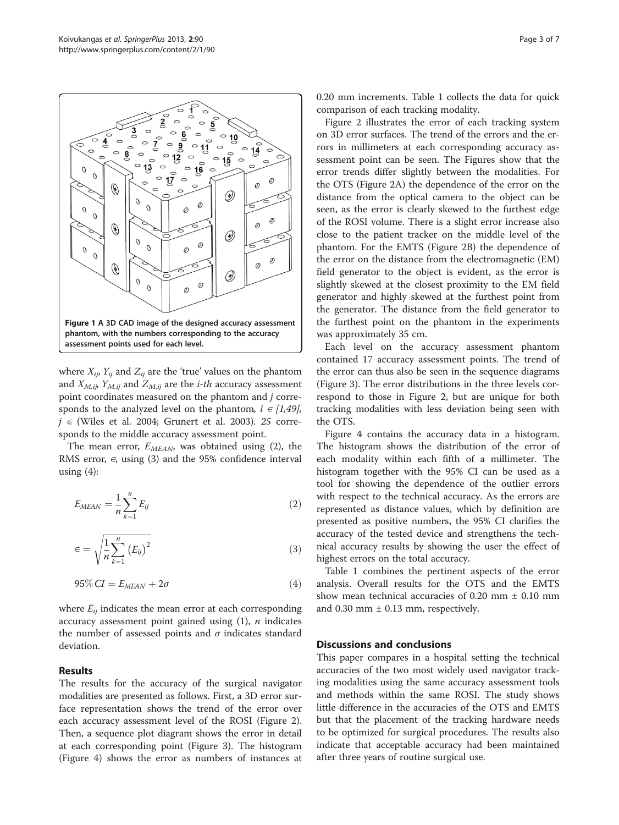<span id="page-2-0"></span>

where  $X_{ij}$ ,  $Y_{ij}$  and  $Z_{ij}$  are the 'true' values on the phantom and  $X_{M,ip}$   $Y_{M,ij}$  and  $Z_{M,ij}$  are the *i-th* accuracy assessment point coordinates measured on the phantom and j corresponds to the analyzed level on the phantom,  $i \in [1,49]$ ,  $j \in$  (Wiles et al. [2004;](#page-6-0) Grunert et al. [2003](#page-6-0)). 25 corresponds to the middle accuracy assessment point.

The mean error,  $E_{MEAN}$ , was obtained using (2), the RMS error,  $\epsilon$ , using (3) and the 95% confidence interval using  $(4)$ :

$$
E_{MEAN} = \frac{1}{n} \sum_{k=1}^{n} E_{ij}
$$
\n
$$
\tag{2}
$$

$$
\epsilon = \sqrt{\frac{1}{n} \sum_{k=1}^{n} (E_{ij})^2}
$$
 (3)

$$
95\% CI = E_{MEAN} + 2\sigma \tag{4}
$$

where  $E_{ii}$  indicates the mean error at each corresponding accuracy assessment point gained using  $(1)$ , *n* indicates the number of assessed points and  $\sigma$  indicates standard deviation.

### Results

The results for the accuracy of the surgical navigator modalities are presented as follows. First, a 3D error surface representation shows the trend of the error over each accuracy assessment level of the ROSI (Figure [2](#page-3-0)). Then, a sequence plot diagram shows the error in detail at each corresponding point (Figure [3](#page-4-0)). The histogram (Figure [4](#page-5-0)) shows the error as numbers of instances at 0.20 mm increments. Table [1](#page-5-0) collects the data for quick comparison of each tracking modality.

Figure [2](#page-3-0) illustrates the error of each tracking system on 3D error surfaces. The trend of the errors and the errors in millimeters at each corresponding accuracy assessment point can be seen. The Figures show that the error trends differ slightly between the modalities. For the OTS (Figure [2](#page-3-0)A) the dependence of the error on the distance from the optical camera to the object can be seen, as the error is clearly skewed to the furthest edge of the ROSI volume. There is a slight error increase also close to the patient tracker on the middle level of the phantom. For the EMTS (Figure [2](#page-3-0)B) the dependence of the error on the distance from the electromagnetic (EM) field generator to the object is evident, as the error is slightly skewed at the closest proximity to the EM field generator and highly skewed at the furthest point from the generator. The distance from the field generator to the furthest point on the phantom in the experiments was approximately 35 cm.

Each level on the accuracy assessment phantom contained 17 accuracy assessment points. The trend of the error can thus also be seen in the sequence diagrams (Figure [3](#page-4-0)). The error distributions in the three levels correspond to those in Figure [2](#page-3-0), but are unique for both tracking modalities with less deviation being seen with the OTS.

Figure [4](#page-5-0) contains the accuracy data in a histogram. The histogram shows the distribution of the error of each modality within each fifth of a millimeter. The histogram together with the 95% CI can be used as a tool for showing the dependence of the outlier errors with respect to the technical accuracy. As the errors are represented as distance values, which by definition are presented as positive numbers, the 95% CI clarifies the accuracy of the tested device and strengthens the technical accuracy results by showing the user the effect of highest errors on the total accuracy.

Table [1](#page-5-0) combines the pertinent aspects of the error analysis. Overall results for the OTS and the EMTS show mean technical accuracies of 0.20 mm ± 0.10 mm and 0.30 mm ± 0.13 mm, respectively.

## Discussions and conclusions

This paper compares in a hospital setting the technical accuracies of the two most widely used navigator tracking modalities using the same accuracy assessment tools and methods within the same ROSI. The study shows little difference in the accuracies of the OTS and EMTS but that the placement of the tracking hardware needs to be optimized for surgical procedures. The results also indicate that acceptable accuracy had been maintained after three years of routine surgical use.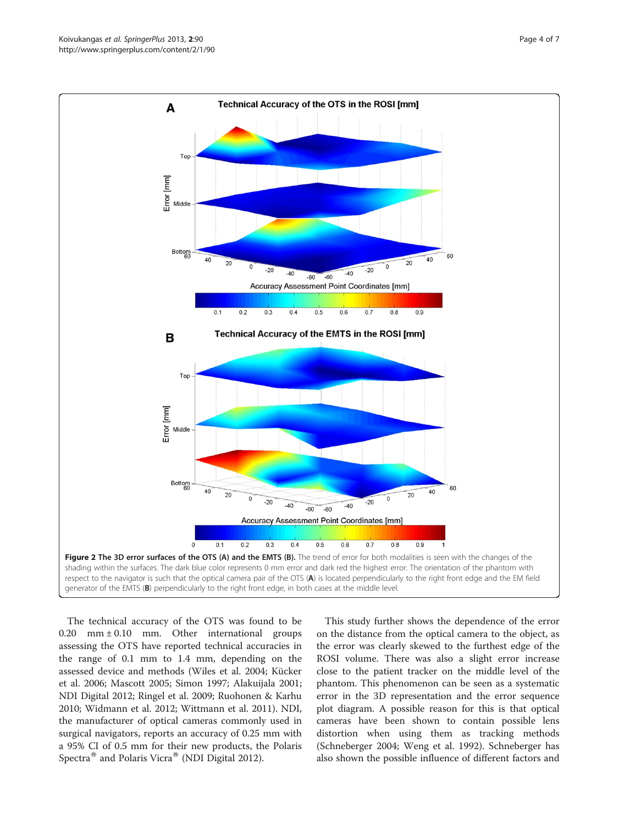<span id="page-3-0"></span>

The technical accuracy of the OTS was found to be  $0.20$  mm  $\pm 0.10$  mm. Other international groups assessing the OTS have reported technical accuracies in the range of 0.1 mm to 1.4 mm, depending on the assessed device and methods (Wiles et al. [2004](#page-6-0); Kücker et al. [2006;](#page-6-0) Mascott [2005](#page-6-0); Simon [1997;](#page-6-0) Alakuijala [2001](#page-6-0); NDI Digital [2012;](#page-6-0) Ringel et al. [2009](#page-6-0); Ruohonen & Karhu [2010](#page-6-0); Widmann et al. [2012;](#page-6-0) Wittmann et al. [2011](#page-6-0)). NDI, the manufacturer of optical cameras commonly used in surgical navigators, reports an accuracy of 0.25 mm with a 95% CI of 0.5 mm for their new products, the Polaris Spectra<sup>®</sup> and Polaris Vicra® (NDI Digital [2012\)](#page-6-0).

This study further shows the dependence of the error on the distance from the optical camera to the object, as the error was clearly skewed to the furthest edge of the ROSI volume. There was also a slight error increase close to the patient tracker on the middle level of the phantom. This phenomenon can be seen as a systematic error in the 3D representation and the error sequence plot diagram. A possible reason for this is that optical cameras have been shown to contain possible lens distortion when using them as tracking methods (Schneberger [2004](#page-6-0); Weng et al. [1992](#page-6-0)). Schneberger has also shown the possible influence of different factors and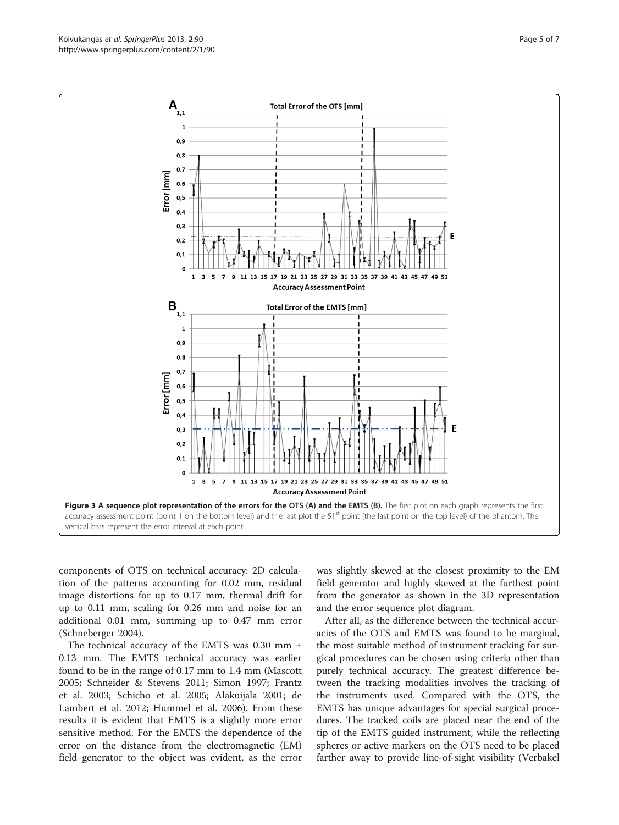components of OTS on technical accuracy: 2D calculation of the patterns accounting for 0.02 mm, residual image distortions for up to 0.17 mm, thermal drift for up to 0.11 mm, scaling for 0.26 mm and noise for an additional 0.01 mm, summing up to 0.47 mm error (Schneberger [2004](#page-6-0)).

The technical accuracy of the EMTS was 0.30 mm  $\pm$ 0.13 mm. The EMTS technical accuracy was earlier found to be in the range of 0.17 mm to 1.4 mm (Mascott [2005](#page-6-0); Schneider & Stevens [2011](#page-6-0); Simon [1997;](#page-6-0) Frantz et al. [2003;](#page-6-0) Schicho et al. [2005;](#page-6-0) Alakuijala [2001;](#page-6-0) de Lambert et al. [2012;](#page-6-0) Hummel et al. [2006](#page-6-0)). From these results it is evident that EMTS is a slightly more error sensitive method. For the EMTS the dependence of the error on the distance from the electromagnetic (EM) field generator to the object was evident, as the error

was slightly skewed at the closest proximity to the EM field generator and highly skewed at the furthest point from the generator as shown in the 3D representation and the error sequence plot diagram.

After all, as the difference between the technical accuracies of the OTS and EMTS was found to be marginal, the most suitable method of instrument tracking for surgical procedures can be chosen using criteria other than purely technical accuracy. The greatest difference between the tracking modalities involves the tracking of the instruments used. Compared with the OTS, the EMTS has unique advantages for special surgical procedures. The tracked coils are placed near the end of the tip of the EMTS guided instrument, while the reflecting spheres or active markers on the OTS need to be placed farther away to provide line-of-sight visibility (Verbakel

<span id="page-4-0"></span>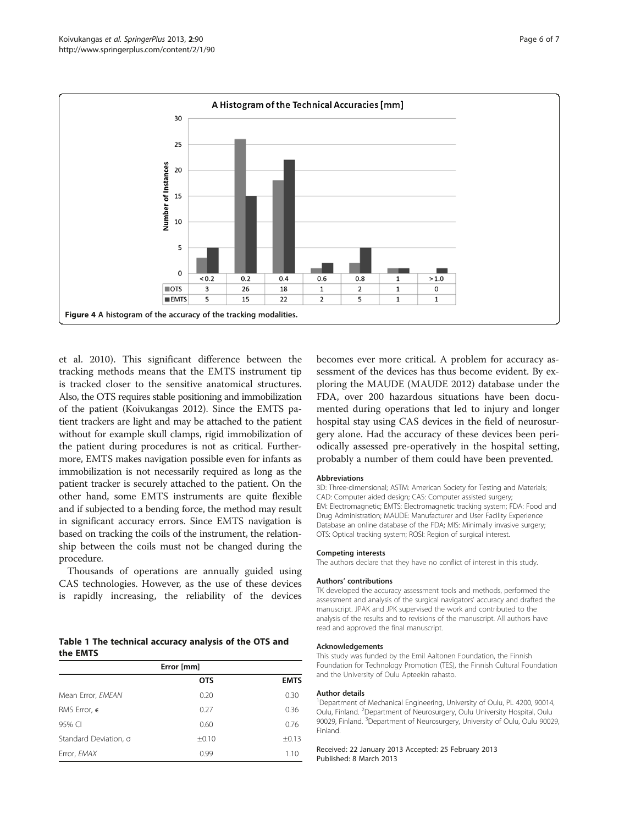<span id="page-5-0"></span>

et al. [2010](#page-6-0)). This significant difference between the tracking methods means that the EMTS instrument tip is tracked closer to the sensitive anatomical structures. Also, the OTS requires stable positioning and immobilization of the patient (Koivukangas [2012](#page-6-0)). Since the EMTS patient trackers are light and may be attached to the patient without for example skull clamps, rigid immobilization of the patient during procedures is not as critical. Furthermore, EMTS makes navigation possible even for infants as immobilization is not necessarily required as long as the patient tracker is securely attached to the patient. On the other hand, some EMTS instruments are quite flexible and if subjected to a bending force, the method may result in significant accuracy errors. Since EMTS navigation is based on tracking the coils of the instrument, the relationship between the coils must not be changed during the procedure.

Thousands of operations are annually guided using CAS technologies. However, as the use of these devices is rapidly increasing, the reliability of the devices

Table 1 The technical accuracy analysis of the OTS and the EMTS

| Error [mm]            |            |             |
|-----------------------|------------|-------------|
|                       | <b>OTS</b> | <b>EMTS</b> |
| Mean Error, EMEAN     | 0.20       | 0.30        |
| RMS Error, $\epsilon$ | 0.27       | 0.36        |
| 95% CI                | 0.60       | 0.76        |
| Standard Deviation, o | $\pm 0.10$ | $\pm 0.13$  |
| Error, EMAX           | 0.99       | 1.10        |

becomes ever more critical. A problem for accuracy assessment of the devices has thus become evident. By exploring the MAUDE (MAUDE [2012\)](#page-6-0) database under the FDA, over 200 hazardous situations have been documented during operations that led to injury and longer hospital stay using CAS devices in the field of neurosurgery alone. Had the accuracy of these devices been periodically assessed pre-operatively in the hospital setting, probably a number of them could have been prevented.

#### Abbreviations

3D: Three-dimensional; ASTM: American Society for Testing and Materials; CAD: Computer aided design; CAS: Computer assisted surgery; EM: Electromagnetic; EMTS: Electromagnetic tracking system; FDA: Food and Drug Administration; MAUDE: Manufacturer and User Facility Experience Database an online database of the FDA; MIS: Minimally invasive surgery; OTS: Optical tracking system; ROSI: Region of surgical interest.

#### Competing interests

The authors declare that they have no conflict of interest in this study.

#### Authors' contributions

TK developed the accuracy assessment tools and methods, performed the assessment and analysis of the surgical navigators' accuracy and drafted the manuscript. JPAK and JPK supervised the work and contributed to the analysis of the results and to revisions of the manuscript. All authors have read and approved the final manuscript.

#### Acknowledgements

This study was funded by the Emil Aaltonen Foundation, the Finnish Foundation for Technology Promotion (TES), the Finnish Cultural Foundation and the University of Oulu Apteekin rahasto.

#### Author details

<sup>1</sup>Department of Mechanical Engineering, University of Oulu, PL 4200, 90014, Oulu, Finland. <sup>2</sup>Department of Neurosurgery, Oulu University Hospital, Oulu 90029, Finland. <sup>3</sup>Department of Neurosurgery, University of Oulu, Oulu 90029 Finland.

#### Received: 22 January 2013 Accepted: 25 February 2013 Published: 8 March 2013